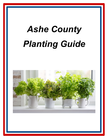## *Ashe County Planting Guide*

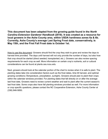**This document has been adapted from the growing guide found in the** *North Carolina Extension Gardener Handbook* **(2018). It was created as a resource for local growers in the Ashe County area, within USDA hardiness zones 6a & 6b. Currently, Ashe County's average Last Spring Frost date, conservatively, is May 15th, and the First Fall Frost date is October 1st.**

How to use this document: Growers should find the crop they wish to grow and review the days to harvest time provided. The days until harvest will not only provide the number of days, but also how that crop should be started (direct seeded; transplanted; etc.). Growers can also review spacing requirements for each crop as well. More information on certain crop's nutrients, soil or cultural considerations can be found at plants.ces.ncsu.edu

Next, growers should look at the calendar portion of the chart to review when it is safe to plant. The planting dates take into consideration factors such as the frost dates, time till harvest, and optimal growing conditions (Temperature, precipitation, sunlight). Growers should plan to plant their crops within the calendar windows provided. For planting dates that fall directly on or after the average last frost date, Growers need to review current weather and wait to plant after the current season's last frost date. Some crops also have fall planting windows provided as well. For more information or crop specific questions, please contact the NC Cooperative Extension, Ashe County Center at (336) 846-5850.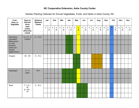## **NC Cooperative Extension, Ashe County Center**

| Fruit,<br>Herb, or<br>Vegetable        | Days to<br><b>Harvest</b><br>(from    | <b>Distance</b><br><b>Between</b><br><b>Plants</b> | Jan         |                                        | Feb         |                                        |             | Mar              | Apr         |                  |              | <b>May</b>                                |             | Jun                                    |             | Jul                                    | Aug         |                               | Sep         |                  |   | Oct                           | <b>Nov</b>  |                                        | <b>Dec</b>  |                                |
|----------------------------------------|---------------------------------------|----------------------------------------------------|-------------|----------------------------------------|-------------|----------------------------------------|-------------|------------------|-------------|------------------|--------------|-------------------------------------------|-------------|----------------------------------------|-------------|----------------------------------------|-------------|-------------------------------|-------------|------------------|---|-------------------------------|-------------|----------------------------------------|-------------|--------------------------------|
|                                        | seed<br>unless<br>otherwise<br>noted) |                                                    | $\mathbf 1$ | $\mathbf 1$<br>$\overline{\mathbf{5}}$ | $\mathbf 1$ | $\mathbf 1$<br>$\overline{\mathbf{5}}$ | $\mathbf 1$ | $\mathbf 1$<br>5 | $\mathbf 1$ | $\mathbf 1$<br>5 | $\mathbf{1}$ | $\overline{\mathbf{1}}$<br>$5\phantom{a}$ | $\mathbf 1$ | $\mathbf 1$<br>$\overline{\mathbf{5}}$ | $\mathbf 1$ | $\mathbf 1$<br>$\overline{\mathbf{5}}$ | $\mathbf 1$ | $\mathbf 1$<br>$5\phantom{a}$ | $\mathbf 1$ | $\mathbf 1$<br>5 | 1 | $\mathbf 1$<br>$5\phantom{a}$ | $\mathbf 1$ | $\mathbf 1$<br>$\overline{\mathbf{5}}$ | $\mathbf 1$ | $\mathbf 1$<br>$5\overline{)}$ |
| Artichokes,<br>Jerusalem               | $Tu = 6 - 8$<br>months                | $9 - 12$ in                                        |             |                                        |             |                                        |             |                  |             |                  |              |                                           |             |                                        |             |                                        |             |                               |             |                  |   |                               |             |                                        |             |                                |
| (Best grown<br>in a pot<br>because     |                                       |                                                    |             |                                        |             |                                        |             |                  |             |                  |              |                                           |             |                                        |             |                                        |             |                               |             |                  |   |                               |             |                                        |             |                                |
| plants can<br>spread<br>aggressively.) |                                       |                                                    |             |                                        |             |                                        |             |                  |             |                  |              |                                           |             |                                        |             |                                        |             |                               |             |                  |   |                               |             |                                        |             |                                |
| Arugula                                | $40 - 50$                             | $6 - 9$ in                                         |             |                                        |             |                                        |             |                  |             |                  |              |                                           |             |                                        |             |                                        |             |                               |             |                  |   |                               |             |                                        |             |                                |
|                                        |                                       |                                                    |             |                                        |             |                                        |             |                  |             |                  |              |                                           |             |                                        |             |                                        |             |                               |             |                  |   |                               |             |                                        |             |                                |
|                                        |                                       |                                                    |             |                                        |             |                                        |             |                  |             |                  |              |                                           |             |                                        |             |                                        |             |                               |             |                  |   |                               |             |                                        |             |                                |
| Asparagus                              | $C = 2$<br>years                      | 18 in                                              |             |                                        |             |                                        |             |                  |             |                  |              |                                           |             |                                        |             |                                        |             |                               |             |                  |   |                               |             |                                        |             |                                |
|                                        |                                       |                                                    |             |                                        |             |                                        |             |                  |             |                  |              |                                           |             |                                        |             |                                        |             |                               |             |                  |   |                               |             |                                        |             |                                |
|                                        |                                       |                                                    |             |                                        |             |                                        |             |                  |             |                  |              |                                           |             |                                        |             |                                        |             |                               |             |                  |   |                               |             |                                        |             |                                |
| Basil                                  | $T = 14 -$<br>35                      | $2 - 8$ in                                         |             |                                        |             |                                        |             |                  |             |                  |              |                                           |             |                                        |             |                                        |             |                               |             |                  |   |                               |             |                                        |             |                                |
|                                        | $S = 50 -$<br>75                      |                                                    |             |                                        |             |                                        |             |                  |             |                  |              |                                           |             |                                        |             |                                        |             |                               |             |                  |   |                               |             |                                        |             |                                |
|                                        |                                       |                                                    |             |                                        |             |                                        |             |                  |             |                  |              |                                           |             |                                        |             |                                        |             |                               |             |                  |   |                               |             |                                        |             |                                |

Garden Planting Calendar for Annual Vegetables, Fruits, and Herbs in Ashe County, NC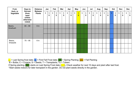| Fruit,                | Days to                                                          | <b>Distance</b>                 | Jan         |                  |   | Feb                  |   | Mar                                    |              | Apr                            |              | May                                       |             | Jun               |             | Jul               |   | Aug                  |   | Sep              | Oct    |              | <b>Nov</b>       |             | <b>Dec</b>           |
|-----------------------|------------------------------------------------------------------|---------------------------------|-------------|------------------|---|----------------------|---|----------------------------------------|--------------|--------------------------------|--------------|-------------------------------------------|-------------|-------------------|-------------|-------------------|---|----------------------|---|------------------|--------|--------------|------------------|-------------|----------------------|
| Herb, or<br>Vegetable | <b>Harvest</b><br>(from<br>seed<br>unless<br>otherwise<br>noted) | <b>Between</b><br><b>Plants</b> | $\mathbf 1$ | $\mathbf 1$<br>5 | 1 | 1<br>$5\phantom{.0}$ | 1 | $\mathbf 1$<br>$\overline{\mathbf{5}}$ | $\mathbf{1}$ | $\mathbf 1$<br>$5\phantom{.0}$ | $\mathbf{1}$ | $\overline{\mathbf{1}}$<br>$5\phantom{a}$ | $\mathbf 1$ | $\mathbf{1}$<br>5 | $\mathbf 1$ | $\mathbf{1}$<br>5 | 1 | 1<br>$5\phantom{.0}$ | 1 | $\mathbf 1$<br>5 | 1<br>5 | $\mathbf{1}$ | $\mathbf 1$<br>5 | $\mathbf 1$ | 1<br>$5\phantom{.0}$ |
| Beans,<br>lima/bush   | $65 - 80$                                                        | 6 in                            |             |                  |   |                      |   |                                        |              |                                |              |                                           |             |                   |             |                   |   |                      |   |                  |        |              |                  |             |                      |
|                       |                                                                  |                                 |             |                  |   |                      |   |                                        |              |                                |              |                                           |             |                   |             |                   |   |                      |   |                  |        |              |                  |             |                      |
|                       |                                                                  |                                 |             |                  |   |                      |   |                                        |              |                                |              |                                           |             |                   |             |                   |   |                      |   |                  |        |              |                  |             |                      |
| Beans,<br>lima/pole   | $75 - 95$                                                        | 6 in                            |             |                  |   |                      |   |                                        |              |                                |              |                                           |             |                   |             |                   |   |                      |   |                  |        |              |                  |             |                      |
|                       |                                                                  |                                 |             |                  |   |                      |   |                                        |              |                                |              |                                           |             |                   |             |                   |   |                      |   |                  |        |              |                  |             |                      |
|                       |                                                                  |                                 |             |                  |   |                      |   |                                        |              |                                |              |                                           |             |                   |             |                   |   |                      |   |                  |        |              |                  |             |                      |

 $\blacksquare$  = Last Spring frost date;  $\blacksquare$  = First Fall Frost date;  $\blacksquare$  = Spring Planting;  $\blacksquare$  = Fall Planting

B = Bulbs; C = Crowns; S = Seeds; T = Transplants; Tu = Tubers

If Spring planting (starts on Last Spring Frost date (Supplement of next 10 days and plant after last frost.

\*Start seeds indoors for later transplant in the garden. Do not plant seeds directly in the garden.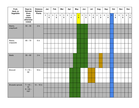| Fruit,<br>Herb, or      | Days to<br><b>Harvest</b>                      | <b>Distance</b><br><b>Between</b> |             | Jan                           |              | Feb                           |             | <b>Mar</b>                             |              | Apr                                    |              | <b>May</b>                                 |             | Jun              |              | Jul              |             | Aug              | Sep         |                                         |                         | Oct                                    |             | <b>Nov</b>       | <b>Dec</b>  |                                |
|-------------------------|------------------------------------------------|-----------------------------------|-------------|-------------------------------|--------------|-------------------------------|-------------|----------------------------------------|--------------|----------------------------------------|--------------|--------------------------------------------|-------------|------------------|--------------|------------------|-------------|------------------|-------------|-----------------------------------------|-------------------------|----------------------------------------|-------------|------------------|-------------|--------------------------------|
| Vegetable               | (from<br>seed<br>unless<br>otherwise<br>noted) | <b>Plants</b>                     | $\mathbf 1$ | $\mathbf 1$<br>$5\phantom{a}$ | $\mathbf{1}$ | $\mathbf 1$<br>$5\phantom{a}$ | $\mathbf 1$ | $\mathbf 1$<br>$\overline{\mathbf{5}}$ | $\mathbf{1}$ | $\mathbf 1$<br>$\overline{\mathbf{5}}$ | $\mathbf{1}$ | $\overline{\mathbf{1}}$<br>$5\overline{)}$ | $\mathbf 1$ | $\mathbf 1$<br>5 | $\mathbf{1}$ | $\mathbf 1$<br>5 | $\mathbf 1$ | $\mathbf 1$<br>5 | $\mathbf 1$ | $\mathbf{1}$<br>$\overline{\mathbf{5}}$ | $\overline{\mathbf{1}}$ | $\mathbf 1$<br>$\overline{\mathbf{5}}$ | $\mathbf 1$ | $\mathbf 1$<br>5 | $\mathbf 1$ | $\mathbf{1}$<br>$5\phantom{a}$ |
| Beans,<br>snap/bush     | $50 - 55$                                      | $2$ in                            |             |                               |              |                               |             |                                        |              |                                        |              |                                            |             |                  |              |                  |             |                  |             |                                         |                         |                                        |             |                  |             |                                |
|                         |                                                |                                   |             |                               |              |                               |             |                                        |              |                                        |              |                                            |             |                  |              |                  |             |                  |             |                                         |                         |                                        |             |                  |             |                                |
| Beans,<br>snap/pole     | $65 - 70$                                      | 6 in                              |             |                               |              |                               |             |                                        |              |                                        |              |                                            |             |                  |              |                  |             |                  |             |                                         |                         |                                        |             |                  |             |                                |
|                         |                                                |                                   |             |                               |              |                               |             |                                        |              |                                        |              |                                            |             |                  |              |                  |             |                  |             |                                         |                         |                                        |             |                  |             |                                |
|                         |                                                |                                   |             |                               |              |                               |             |                                        |              |                                        |              |                                            |             |                  |              |                  |             |                  |             |                                         |                         |                                        |             |                  |             |                                |
| <b>Beets</b>            | $55 - 60$                                      | $2$ in                            |             |                               |              |                               |             |                                        |              |                                        |              |                                            |             |                  |              |                  |             |                  |             |                                         |                         |                                        |             |                  |             |                                |
|                         |                                                |                                   |             |                               |              |                               |             |                                        |              |                                        |              |                                            |             |                  |              |                  |             |                  |             |                                         |                         |                                        |             |                  |             |                                |
|                         |                                                |                                   |             |                               |              |                               |             |                                        |              |                                        |              |                                            |             |                  |              |                  |             |                  |             |                                         |                         |                                        |             |                  |             |                                |
| Broccoli                | $T = 70 -$<br>80                               | 18 in                             |             |                               |              |                               |             |                                        |              |                                        |              |                                            |             |                  |              |                  |             |                  |             |                                         |                         |                                        |             |                  |             |                                |
|                         |                                                |                                   |             |                               |              |                               |             |                                        |              |                                        |              |                                            |             |                  |              |                  |             |                  |             |                                         |                         |                                        |             |                  |             |                                |
|                         |                                                |                                   |             |                               |              |                               |             |                                        |              |                                        |              |                                            |             |                  |              |                  |             |                  |             |                                         |                         |                                        |             |                  |             |                                |
| <b>Brussels sprouts</b> | $T = 40 -$<br>50                               | $14 - 18$ in                      |             |                               |              |                               |             |                                        |              |                                        |              |                                            |             |                  |              |                  |             |                  |             |                                         |                         |                                        |             |                  |             |                                |
|                         | $S = 90 -$<br>$100*$                           |                                   |             |                               |              |                               |             |                                        |              |                                        |              |                                            |             |                  |              |                  |             |                  |             |                                         |                         |                                        |             |                  |             |                                |
|                         |                                                |                                   |             |                               |              |                               |             |                                        |              |                                        |              |                                            |             |                  |              |                  |             |                  |             |                                         |                         |                                        |             |                  |             |                                |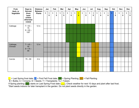| Fruit,                | Days to                                                          | <b>Distance</b>                 |   | Jan              |             | Feb                           |             | Mar                           |             | Apr                            |             | <b>May</b>                        |             | Jun              |             | Jul                            |             | Aug              | Sep         |                                        |              | Oct                            |             | <b>Nov</b>       |             | <b>Dec</b>                     |
|-----------------------|------------------------------------------------------------------|---------------------------------|---|------------------|-------------|-------------------------------|-------------|-------------------------------|-------------|--------------------------------|-------------|-----------------------------------|-------------|------------------|-------------|--------------------------------|-------------|------------------|-------------|----------------------------------------|--------------|--------------------------------|-------------|------------------|-------------|--------------------------------|
| Herb, or<br>Vegetable | <b>Harvest</b><br>(from<br>seed<br>unless<br>otherwise<br>noted) | <b>Between</b><br><b>Plants</b> | 1 | $\mathbf 1$<br>5 | $\mathbf 1$ | $\mathbf 1$<br>$5\phantom{a}$ | $\mathbf 1$ | $\mathbf 1$<br>$5\phantom{a}$ | $\mathbf 1$ | $\mathbf{1}$<br>$5\phantom{a}$ | $\mathbf 1$ | $\overline{1}$<br>$5\overline{)}$ | $\mathbf 1$ | $\mathbf 1$<br>5 | $\mathbf 1$ | $\mathbf{1}$<br>$5\phantom{a}$ | $\mathbf 1$ | $\mathbf 1$<br>5 | $\mathbf 1$ | $\mathbf 1$<br>$\overline{\mathbf{5}}$ | $\mathbf{1}$ | $\mathbf{1}$<br>$5\phantom{a}$ | $\mathbf 1$ | $\mathbf 1$<br>5 | $\mathbf 1$ | $\mathbf{1}$<br>$5\phantom{a}$ |
| Cabbage               | $T = 63 -$<br>75                                                 | $12$ in                         |   |                  |             |                               |             |                               |             |                                |             |                                   |             |                  |             |                                |             |                  |             |                                        |              |                                |             |                  |             |                                |
|                       | $S = 90 -$<br>$120*$                                             |                                 |   |                  |             |                               |             |                               |             |                                |             |                                   |             |                  |             |                                |             |                  |             |                                        |              |                                |             |                  |             |                                |
|                       |                                                                  |                                 |   |                  |             |                               |             |                               |             |                                |             |                                   |             |                  |             |                                |             |                  |             |                                        |              |                                |             |                  |             |                                |
| Cabbage,<br>Chinese   | $T = 45 -$<br>55                                                 | $12$ in                         |   |                  |             |                               |             |                               |             |                                |             |                                   |             |                  |             |                                |             |                  |             |                                        |              |                                |             |                  |             |                                |
|                       | $S = 75 -$<br>85                                                 |                                 |   |                  |             |                               |             |                               |             |                                |             |                                   |             |                  |             |                                |             |                  |             |                                        |              |                                |             |                  |             |                                |
|                       |                                                                  |                                 |   |                  |             |                               |             |                               |             |                                |             |                                   |             |                  |             |                                |             |                  |             |                                        |              |                                |             |                  |             |                                |
| Carrots               | $75 - 80$                                                        | $2$ in                          |   |                  |             |                               |             |                               |             |                                |             |                                   |             |                  |             |                                |             |                  |             |                                        |              |                                |             |                  |             |                                |
|                       |                                                                  |                                 |   |                  |             |                               |             |                               |             |                                |             |                                   |             |                  |             |                                |             |                  |             |                                        |              |                                |             |                  |             |                                |
|                       |                                                                  |                                 |   |                  |             |                               |             |                               |             |                                |             |                                   |             |                  |             |                                |             |                  |             |                                        |              |                                |             |                  |             |                                |

 $\overline{B}$  = Bulbs; C = Crowns; S = Seeds; T = Transplants;  $\overline{T}u$  = Tubers

If Spring planting (starts on Last Spring Frost date (Supplement of next 10 days and plant after last frost. \*Start seeds indoors for later transplant in the garden. Do not plant seeds directly in the garden.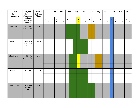| Fruit,<br>Herb, or<br>Vegetable | Days to<br>Harvest<br>(from seed       | <b>Distance</b><br><b>Between</b><br><b>Plants</b> | Jan         |                                        |             | Feb              |             | <b>Mar</b>                    |             | Apr                                    |             | <b>May</b>                                         |             | Jun              |              | Jul                                    |             | Aug                            |             | Sep              |                | Oct                           |             | <b>Nov</b>                             |             | <b>Dec</b>                    |
|---------------------------------|----------------------------------------|----------------------------------------------------|-------------|----------------------------------------|-------------|------------------|-------------|-------------------------------|-------------|----------------------------------------|-------------|----------------------------------------------------|-------------|------------------|--------------|----------------------------------------|-------------|--------------------------------|-------------|------------------|----------------|-------------------------------|-------------|----------------------------------------|-------------|-------------------------------|
|                                 | unless<br>otherwise<br>noted)          |                                                    | $\mathbf 1$ | $\mathbf 1$<br>$\overline{\mathbf{5}}$ | $\mathbf 1$ | $\mathbf 1$<br>5 | $\mathbf 1$ | $\mathbf 1$<br>$5\phantom{a}$ | $\mathbf 1$ | $\mathbf 1$<br>$\overline{\mathbf{5}}$ | $\mathbf 1$ | $\overline{\mathbf{1}}$<br>$\overline{\mathbf{5}}$ | $\mathbf 1$ | $\mathbf 1$<br>5 | $\mathbf{1}$ | $\mathbf 1$<br>$\overline{\mathbf{5}}$ | $\mathbf 1$ | $\mathbf 1$<br>$5\phantom{.0}$ | $\mathbf 1$ | $\mathbf 1$<br>5 | $\overline{1}$ | $\mathbf 1$<br>$5\phantom{1}$ | $\mathbf 1$ | $\mathbf 1$<br>$\overline{\mathbf{5}}$ | $\mathbf 1$ | $\mathbf 1$<br>$5\phantom{a}$ |
| Cauliflower                     | $T = 55 - 65$<br>$S = 85 - 95$         | 18 in                                              |             |                                        |             |                  |             |                               |             |                                        |             |                                                    |             |                  |              |                                        |             |                                |             |                  |                |                               |             |                                        |             |                               |
|                                 |                                        |                                                    |             |                                        |             |                  |             |                               |             |                                        |             |                                                    |             |                  |              |                                        |             |                                |             |                  |                |                               |             |                                        |             |                               |
| Celery                          | $T = 60 - 70$<br>$S = 120 -$<br>$150*$ | $6 - 8$ in                                         |             |                                        |             |                  |             |                               |             |                                        |             |                                                    |             |                  |              |                                        |             |                                |             |                  |                |                               |             |                                        |             |                               |
|                                 |                                        |                                                    |             |                                        |             |                  |             |                               |             |                                        |             |                                                    |             |                  |              |                                        |             |                                |             |                  |                |                               |             |                                        |             |                               |
| Chard, Swiss                    | $T = 32 - 42$<br>$S = 60 - 70$         | 6 <sub>in</sub>                                    |             |                                        |             |                  |             |                               |             |                                        |             |                                                    |             |                  |              |                                        |             |                                |             |                  |                |                               |             |                                        |             |                               |
|                                 |                                        |                                                    |             |                                        |             |                  |             |                               |             |                                        |             |                                                    |             |                  |              |                                        |             |                                |             |                  |                |                               |             |                                        |             |                               |
|                                 |                                        |                                                    |             |                                        |             |                  |             |                               |             |                                        |             |                                                    |             |                  |              |                                        |             |                                |             |                  |                |                               |             |                                        |             |                               |
| Cilantro                        | $50 - 55$                              | $2 - 4$ in                                         |             |                                        |             |                  |             |                               |             |                                        |             |                                                    |             |                  |              |                                        |             |                                |             |                  |                |                               |             |                                        |             |                               |
|                                 |                                        |                                                    |             |                                        |             |                  |             |                               |             |                                        |             |                                                    |             |                  |              |                                        |             |                                |             |                  |                |                               |             |                                        |             |                               |
|                                 |                                        |                                                    |             |                                        |             |                  |             |                               |             |                                        |             |                                                    |             |                  |              |                                        |             |                                |             |                  |                |                               |             |                                        |             |                               |
| Collard greens                  | $T = 32 - 72$<br>$S = 60 -$            | 18 in                                              |             |                                        |             |                  |             |                               |             |                                        |             |                                                    |             |                  |              |                                        |             |                                |             |                  |                |                               |             |                                        |             |                               |
|                                 | 100                                    |                                                    |             |                                        |             |                  |             |                               |             |                                        |             |                                                    |             |                  |              |                                        |             |                                |             |                  |                |                               |             |                                        |             |                               |
|                                 |                                        |                                                    |             |                                        |             |                  |             |                               |             |                                        |             |                                                    |             |                  |              |                                        |             |                                |             |                  |                |                               |             |                                        |             |                               |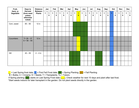| Fruit,                | Days to                                                       | <b>Distance</b>                 |             | Jan                           |              | Feb              |              | Mar                            |             | Apr              |             | <b>May</b>                                |             | Jun              |             | Jul                           |   | Aug              | Sep          |                  |   | Oct                           |             | <b>Nov</b>                     |   | <b>Dec</b>                    |
|-----------------------|---------------------------------------------------------------|---------------------------------|-------------|-------------------------------|--------------|------------------|--------------|--------------------------------|-------------|------------------|-------------|-------------------------------------------|-------------|------------------|-------------|-------------------------------|---|------------------|--------------|------------------|---|-------------------------------|-------------|--------------------------------|---|-------------------------------|
| Herb, or<br>Vegetable | <b>Harvest</b><br>(from seed<br>unless<br>otherwise<br>noted) | <b>Between</b><br><b>Plants</b> | $\mathbf 1$ | $\mathbf 1$<br>$5\phantom{a}$ | $\mathbf{1}$ | $\mathbf 1$<br>5 | $\mathbf{1}$ | $\mathbf{1}$<br>$5\phantom{a}$ | $\mathbf 1$ | $\mathbf 1$<br>5 | $\mathbf 1$ | $\overline{\mathbf{1}}$<br>$5\phantom{a}$ | $\mathbf 1$ | $\mathbf 1$<br>5 | $\mathbf 1$ | $\mathbf 1$<br>$5\phantom{a}$ | 1 | $\mathbf 1$<br>5 | $\mathbf{1}$ | $\mathbf 1$<br>5 | 1 | $\mathbf 1$<br>$5\phantom{1}$ | $\mathbf 1$ | $\mathbf{1}$<br>$5\phantom{a}$ | 1 | $\mathbf 1$<br>$5\phantom{1}$ |
| Corn, sweet           | $85 - 90$                                                     | $12$ in                         |             |                               |              |                  |              |                                |             |                  |             |                                           |             |                  |             |                               |   |                  |              |                  |   |                               |             |                                |   |                               |
|                       |                                                               |                                 |             |                               |              |                  |              |                                |             |                  |             |                                           |             |                  |             |                               |   |                  |              |                  |   |                               |             |                                |   |                               |
|                       |                                                               |                                 |             |                               |              |                  |              |                                |             |                  |             |                                           |             |                  |             |                               |   |                  |              |                  |   |                               |             |                                |   |                               |
| Cucumbers             | $T = 28 - 37$<br>$S = 56 - 65$                                | $12$ in                         |             |                               |              |                  |              |                                |             |                  |             |                                           |             |                  |             |                               |   |                  |              |                  |   |                               |             |                                |   |                               |
|                       |                                                               |                                 |             |                               |              |                  |              |                                |             |                  |             |                                           |             |                  |             |                               |   |                  |              |                  |   |                               |             |                                |   |                               |
|                       |                                                               |                                 |             |                               |              |                  |              |                                |             |                  |             |                                           |             |                  |             |                               |   |                  |              |                  |   |                               |             |                                |   |                               |
| Dill                  | $40 - 55$                                                     | $2 - 4$ in                      |             |                               |              |                  |              |                                |             |                  |             |                                           |             |                  |             |                               |   |                  |              |                  |   |                               |             |                                |   |                               |
|                       |                                                               |                                 |             |                               |              |                  |              |                                |             |                  |             |                                           |             |                  |             |                               |   |                  |              |                  |   |                               |             |                                |   |                               |
|                       |                                                               |                                 |             |                               |              |                  |              |                                |             |                  |             |                                           |             |                  |             |                               |   |                  |              |                  |   |                               |             |                                |   |                               |

 $\overline{B}$  = Bulbs; C = Crowns; S = Seeds; T = Transplants;  $\overline{T}u$  = Tubers

If Spring planting ( $\Box$ ) starts on Last Spring Frost date ( $\Box$ ), Check weather for next 10 days and plant after last frost. \*Start seeds indoors for later transplant in the garden. Do not plant seeds directly in the garden.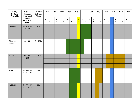| Fruit,<br>Herb, or<br>Vegetable | Days to<br><b>Harvest</b><br>(from seed | <b>Distance</b><br><b>Between</b><br><b>Plants</b> | Jan         |                                        |             | Feb                                    |              | <b>Mar</b>                    |             | Apr                                    |             | <b>May</b>                                         |             | Jun              |             | Jul                                    | Aug         |                               |             | Sep                                    |                      | Oct                                    |             | <b>Nov</b>                             | <b>Dec</b>  |                            |
|---------------------------------|-----------------------------------------|----------------------------------------------------|-------------|----------------------------------------|-------------|----------------------------------------|--------------|-------------------------------|-------------|----------------------------------------|-------------|----------------------------------------------------|-------------|------------------|-------------|----------------------------------------|-------------|-------------------------------|-------------|----------------------------------------|----------------------|----------------------------------------|-------------|----------------------------------------|-------------|----------------------------|
|                                 | unless<br>otherwise<br>noted)           |                                                    | $\mathbf 1$ | $\mathbf 1$<br>$\overline{\mathbf{5}}$ | $\mathbf 1$ | $\mathbf 1$<br>$\overline{\mathbf{5}}$ | $\mathbf{1}$ | $\mathbf 1$<br>$5\phantom{a}$ | $\mathbf 1$ | $\mathbf 1$<br>$\overline{\mathbf{5}}$ | $\mathbf 1$ | $\overline{\mathbf{1}}$<br>$\overline{\mathbf{5}}$ | $\mathbf 1$ | $\mathbf 1$<br>5 | $\mathbf 1$ | $\mathbf 1$<br>$\overline{\mathbf{5}}$ | $\mathbf 1$ | $\mathbf 1$<br>$5\phantom{a}$ | $\mathbf 1$ | $\mathbf 1$<br>$\overline{\mathbf{5}}$ | $\blacktriangleleft$ | $\mathbf 1$<br>$\overline{\mathbf{5}}$ | $\mathbf 1$ | $\mathbf 1$<br>$\overline{\mathbf{5}}$ | $\mathbf 1$ | $\mathbf{1}$<br>$\sqrt{5}$ |
| Eggplant                        | $T = 90 - 95$<br>$S = 150 -$<br>$155*$  | 24 in                                              |             |                                        |             |                                        |              |                               |             |                                        |             |                                                    |             |                  |             |                                        |             |                               |             |                                        |                      |                                        |             |                                        |             |                            |
|                                 |                                         |                                                    |             |                                        |             |                                        |              |                               |             |                                        |             |                                                    |             |                  |             |                                        |             |                               |             |                                        |                      |                                        |             |                                        |             |                            |
| Florence<br>fennel              | $60 - 90$                               | $6 - 12$ in                                        |             |                                        |             |                                        |              |                               |             |                                        |             |                                                    |             |                  |             |                                        |             |                               |             |                                        |                      |                                        |             |                                        |             |                            |
|                                 |                                         |                                                    |             |                                        |             |                                        |              |                               |             |                                        |             |                                                    |             |                  |             |                                        |             |                               |             |                                        |                      |                                        |             |                                        |             |                            |
|                                 |                                         |                                                    |             |                                        |             |                                        |              |                               |             |                                        |             |                                                    |             |                  |             |                                        |             |                               |             |                                        |                      |                                        |             |                                        |             |                            |
| Garlic                          | $B = 180 -$<br>210                      | $4-6$ in                                           |             |                                        |             |                                        |              |                               |             |                                        |             |                                                    |             |                  |             |                                        |             |                               |             |                                        |                      |                                        |             |                                        |             |                            |
|                                 |                                         |                                                    |             |                                        |             |                                        |              |                               |             |                                        |             |                                                    |             |                  |             |                                        |             |                               |             |                                        |                      |                                        |             |                                        |             |                            |
|                                 |                                         |                                                    |             |                                        |             |                                        |              |                               |             |                                        |             |                                                    |             |                  |             |                                        |             |                               |             |                                        |                      |                                        |             |                                        |             |                            |
| Kale                            | $T = 14 - 22$<br>$S = 40 - 50$          | 6 in                                               |             |                                        |             |                                        |              |                               |             |                                        |             |                                                    |             |                  |             |                                        |             |                               |             |                                        |                      |                                        |             |                                        |             |                            |
|                                 |                                         |                                                    |             |                                        |             |                                        |              |                               |             |                                        |             |                                                    |             |                  |             |                                        |             |                               |             |                                        |                      |                                        |             |                                        |             |                            |
|                                 |                                         |                                                    |             |                                        |             |                                        |              |                               |             |                                        |             |                                                    |             |                  |             |                                        |             |                               |             |                                        |                      |                                        |             |                                        |             |                            |
| Kohlrabi                        | $T = 22 - 32$<br>$S = 50 - 60$          | $4$ in                                             |             |                                        |             |                                        |              |                               |             |                                        |             |                                                    |             |                  |             |                                        |             |                               |             |                                        |                      |                                        |             |                                        |             |                            |
|                                 |                                         |                                                    |             |                                        |             |                                        |              |                               |             |                                        |             |                                                    |             |                  |             |                                        |             |                               |             |                                        |                      |                                        |             |                                        |             |                            |
|                                 |                                         |                                                    |             |                                        |             |                                        |              |                               |             |                                        |             |                                                    |             |                  |             |                                        |             |                               |             |                                        |                      |                                        |             |                                        |             |                            |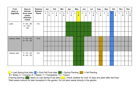| Fruit,                | Days to                                                       | <b>Distance</b>                 |              | Jan              |              | Feb                                     |              | Mar                                     |             | Apr                                    |              | <b>May</b>                                |             | Jun              |              | Jul                           |   | Aug              |             | Sep                                    |                | Oct              | <b>Nov</b>  |                  | <b>Dec</b>   |                                        |
|-----------------------|---------------------------------------------------------------|---------------------------------|--------------|------------------|--------------|-----------------------------------------|--------------|-----------------------------------------|-------------|----------------------------------------|--------------|-------------------------------------------|-------------|------------------|--------------|-------------------------------|---|------------------|-------------|----------------------------------------|----------------|------------------|-------------|------------------|--------------|----------------------------------------|
| Herb, or<br>Vegetable | <b>Harvest</b><br>(from seed<br>unless<br>otherwise<br>noted) | <b>Between</b><br><b>Plants</b> | $\mathbf{1}$ | $\mathbf 1$<br>5 | $\mathbf{1}$ | $\mathbf{1}$<br>$\overline{\mathbf{5}}$ | $\mathbf{1}$ | $\mathbf{1}$<br>$\overline{\mathbf{5}}$ | $\mathbf 1$ | $\mathbf 1$<br>$\overline{\mathbf{5}}$ | $\mathbf{1}$ | $\overline{\mathbf{1}}$<br>$5\phantom{1}$ | $\mathbf 1$ | $\mathbf 1$<br>5 | $\mathbf{1}$ | $\mathbf 1$<br>$5\phantom{1}$ | 1 | $\mathbf 1$<br>5 | $\mathbf 1$ | $\mathbf 1$<br>$\overline{\mathbf{5}}$ | $\overline{1}$ | $\mathbf 1$<br>5 | $\mathbf 1$ | $\mathbf 1$<br>5 | $\mathbf{1}$ | $\mathbf 1$<br>$\overline{\mathbf{5}}$ |
| Leek                  | $T = 50 - 80$<br>$S = 120 -$                                  | 4 in                            |              |                  |              |                                         |              |                                         |             |                                        |              |                                           |             |                  |              |                               |   |                  |             |                                        |                |                  |             |                  |              |                                        |
|                       | 150                                                           |                                 |              |                  |              |                                         |              |                                         |             |                                        |              |                                           |             |                  |              |                               |   |                  |             |                                        |                |                  |             |                  |              |                                        |
|                       |                                                               |                                 |              |                  |              |                                         |              |                                         |             |                                        |              |                                           |             |                  |              |                               |   |                  |             |                                        |                |                  |             |                  |              |                                        |
| Lettuce, head         | $T = 45 - 60$<br>$S = 70 - 85$                                | $10$ in                         |              |                  |              |                                         |              |                                         |             |                                        |              |                                           |             |                  |              |                               |   |                  |             |                                        |                |                  |             |                  |              |                                        |
|                       |                                                               |                                 |              |                  |              |                                         |              |                                         |             |                                        |              |                                           |             |                  |              |                               |   |                  |             |                                        |                |                  |             |                  |              |                                        |
|                       |                                                               |                                 |              |                  |              |                                         |              |                                         |             |                                        |              |                                           |             |                  |              |                               |   |                  |             |                                        |                |                  |             |                  |              |                                        |
| Lettuce, leaf         | $T = 15 - 25$<br>$S = 40 - 50$                                | 6 in                            |              |                  |              |                                         |              |                                         |             |                                        |              |                                           |             |                  |              |                               |   |                  |             |                                        |                |                  |             |                  |              |                                        |
|                       |                                                               |                                 |              |                  |              |                                         |              |                                         |             |                                        |              |                                           |             |                  |              |                               |   |                  |             |                                        |                |                  |             |                  |              |                                        |
|                       |                                                               |                                 |              |                  |              |                                         |              |                                         |             |                                        |              |                                           |             |                  |              |                               |   |                  |             |                                        |                |                  |             |                  |              |                                        |

 $\overline{B}$  = Bulbs; C = Crowns; S = Seeds; T = Transplants;  $\overline{T}u$  = Tubers

If Spring planting ( $\Box$ ) starts on Last Spring Frost date ( $\Box$ ), Check weather for next 10 days and plant after last frost. \*Start seeds indoors for later transplant in the garden. Do not plant seeds directly in the garden.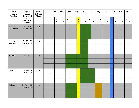| Fruit,<br>Herb, or<br>Vegetable | Days to<br><b>Harvest</b><br>(from seed | <b>Distance</b><br><b>Between</b><br><b>Plants</b> | Jan         |                                        |              | Feb              |              | <b>Mar</b>                    |             | Apr                                    |             | <b>May</b>                                         |             | Jun              |              | Jul                                    |             | Aug                           |              | Sep              | Oct            |                               |             | <b>Nov</b>                             | <b>Dec</b>  |                                         |
|---------------------------------|-----------------------------------------|----------------------------------------------------|-------------|----------------------------------------|--------------|------------------|--------------|-------------------------------|-------------|----------------------------------------|-------------|----------------------------------------------------|-------------|------------------|--------------|----------------------------------------|-------------|-------------------------------|--------------|------------------|----------------|-------------------------------|-------------|----------------------------------------|-------------|-----------------------------------------|
|                                 | unless<br>otherwise<br>noted)           |                                                    | $\mathbf 1$ | $\mathbf 1$<br>$\overline{\mathbf{5}}$ | $\mathbf{1}$ | $\mathbf 1$<br>5 | $\mathbf{1}$ | $\mathbf 1$<br>$5\phantom{a}$ | $\mathbf 1$ | $\mathbf 1$<br>$\overline{\mathbf{5}}$ | $\mathbf 1$ | $\overline{\mathbf{1}}$<br>$\overline{\mathbf{5}}$ | $\mathbf 1$ | $\mathbf 1$<br>5 | $\mathbf{1}$ | $\mathbf 1$<br>$\overline{\mathbf{5}}$ | $\mathbf 1$ | $\mathbf 1$<br>$5\phantom{a}$ | $\mathbf{1}$ | $\mathbf 1$<br>5 | $\overline{1}$ | $\mathbf 1$<br>$5\phantom{a}$ | $\mathbf 1$ | $\mathbf 1$<br>$\overline{\mathbf{5}}$ | $\mathbf 1$ | $\mathbf{1}$<br>$\overline{\mathbf{5}}$ |
| Melons,<br>cantaloupe           | $T = 57 - 62$<br>$S = 85 - 90$          | 24 in                                              |             |                                        |              |                  |              |                               |             |                                        |             |                                                    |             |                  |              |                                        |             |                               |              |                  |                |                               |             |                                        |             |                                         |
|                                 |                                         |                                                    |             |                                        |              |                  |              |                               |             |                                        |             |                                                    |             |                  |              |                                        |             |                               |              |                  |                |                               |             |                                        |             |                                         |
| Melons,<br>watermelon           | $T = 62 - 72$<br>$S = 90 - 100$         | 60 in                                              |             |                                        |              |                  |              |                               |             |                                        |             |                                                    |             |                  |              |                                        |             |                               |              |                  |                |                               |             |                                        |             |                                         |
|                                 |                                         |                                                    |             |                                        |              |                  |              |                               |             |                                        |             |                                                    |             |                  |              |                                        |             |                               |              |                  |                |                               |             |                                        |             |                                         |
|                                 |                                         |                                                    |             |                                        |              |                  |              |                               |             |                                        |             |                                                    |             |                  |              |                                        |             |                               |              |                  |                |                               |             |                                        |             |                                         |
| Mustard                         | $30 - 40$                               | $2$ in                                             |             |                                        |              |                  |              |                               |             |                                        |             |                                                    |             |                  |              |                                        |             |                               |              |                  |                |                               |             |                                        |             |                                         |
|                                 |                                         |                                                    |             |                                        |              |                  |              |                               |             |                                        |             |                                                    |             |                  |              |                                        |             |                               |              |                  |                |                               |             |                                        |             |                                         |
|                                 |                                         |                                                    |             |                                        |              |                  |              |                               |             |                                        |             |                                                    |             |                  |              |                                        |             |                               |              |                  |                |                               |             |                                        |             |                                         |
| Okra                            | $T = 18 - 28$<br>$S = 60 - 70$          | $12$ in                                            |             |                                        |              |                  |              |                               |             |                                        |             |                                                    |             |                  |              |                                        |             |                               |              |                  |                |                               |             |                                        |             |                                         |
|                                 |                                         |                                                    |             |                                        |              |                  |              |                               |             |                                        |             |                                                    |             |                  |              |                                        |             |                               |              |                  |                |                               |             |                                        |             |                                         |
|                                 |                                         |                                                    |             |                                        |              |                  |              |                               |             |                                        |             |                                                    |             |                  |              |                                        |             |                               |              |                  |                |                               |             |                                        |             |                                         |
| Onions, bulb                    | $B = 75 - 105$<br>$S = 90 - 120$        | $4$ in                                             |             |                                        |              |                  |              |                               |             |                                        |             |                                                    |             |                  |              |                                        |             |                               |              |                  |                |                               |             |                                        |             |                                         |
|                                 |                                         |                                                    |             |                                        |              |                  |              |                               |             |                                        |             |                                                    |             |                  |              |                                        |             |                               |              |                  |                |                               |             |                                        |             |                                         |
|                                 |                                         |                                                    |             |                                        |              |                  |              |                               |             |                                        |             |                                                    |             |                  |              |                                        |             |                               |              |                  |                |                               |             |                                        |             |                                         |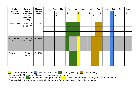| Fruit,                | Days to                                                       | <b>Distance</b>                 |              | Jan                           |              | Feb               |              | Mar               |             | Apr              |              | <b>May</b>                                 |             | Jun              |              | Jul              |   | Aug                           |              | Sep              |                | Oct              | <b>Nov</b>  |                  | <b>Dec</b>   |                                        |
|-----------------------|---------------------------------------------------------------|---------------------------------|--------------|-------------------------------|--------------|-------------------|--------------|-------------------|-------------|------------------|--------------|--------------------------------------------|-------------|------------------|--------------|------------------|---|-------------------------------|--------------|------------------|----------------|------------------|-------------|------------------|--------------|----------------------------------------|
| Herb, or<br>Vegetable | <b>Harvest</b><br>(from seed<br>unless<br>otherwise<br>noted) | <b>Between</b><br><b>Plants</b> | $\mathbf{1}$ | $\mathbf 1$<br>$5\phantom{1}$ | $\mathbf{1}$ | $\mathbf{1}$<br>5 | $\mathbf{1}$ | $\mathbf{1}$<br>5 | $\mathbf 1$ | $\mathbf 1$<br>5 | $\mathbf{1}$ | $\overline{\mathbf{1}}$<br>$5\overline{)}$ | $\mathbf 1$ | $\mathbf 1$<br>5 | $\mathbf{1}$ | $\mathbf 1$<br>5 | 1 | $\mathbf 1$<br>$5\phantom{1}$ | $\mathbf{1}$ | $\mathbf 1$<br>5 | $\overline{1}$ | $\mathbf 1$<br>5 | $\mathbf 1$ | $\mathbf 1$<br>5 | $\mathbf{1}$ | $\mathbf 1$<br>$\overline{\mathbf{5}}$ |
| Onions, green         | $T = 42 - 50$<br>$S = 60 - 70$                                | $1 - 2$ in                      |              |                               |              |                   |              |                   |             |                  |              |                                            |             |                  |              |                  |   |                               |              |                  |                |                  |             |                  |              |                                        |
|                       |                                                               |                                 |              |                               |              |                   |              |                   |             |                  |              |                                            |             |                  |              |                  |   |                               |              |                  |                |                  |             |                  |              |                                        |
|                       |                                                               |                                 |              |                               |              |                   |              |                   |             |                  |              |                                            |             |                  |              |                  |   |                               |              |                  |                |                  |             |                  |              |                                        |
| Pac choi, bok<br>choy | $T = 30 - 75$<br>$S = 45 - 90*$                               | $7 - 12$ in                     |              |                               |              |                   |              |                   |             |                  |              |                                            |             |                  |              |                  |   |                               |              |                  |                |                  |             |                  |              |                                        |
|                       |                                                               |                                 |              |                               |              |                   |              |                   |             |                  |              |                                            |             |                  |              |                  |   |                               |              |                  |                |                  |             |                  |              |                                        |
|                       |                                                               |                                 |              |                               |              |                   |              |                   |             |                  |              |                                            |             |                  |              |                  |   |                               |              |                  |                |                  |             |                  |              |                                        |
| Parsley               | $T = 33$<br>$S = 75$                                          | $9 - 12$ in                     |              |                               |              |                   |              |                   |             |                  |              |                                            |             |                  |              |                  |   |                               |              |                  |                |                  |             |                  |              |                                        |
|                       |                                                               |                                 |              |                               |              |                   |              |                   |             |                  |              |                                            |             |                  |              |                  |   |                               |              |                  |                |                  |             |                  |              |                                        |
|                       |                                                               |                                 |              |                               |              |                   |              |                   |             |                  |              |                                            |             |                  |              |                  |   |                               |              |                  |                |                  |             |                  |              |                                        |

 $\overline{B}$  = Bulbs; C = Crowns; S = Seeds; T = Transplants;  $\overline{T}u$  = Tubers

If Spring planting ( $\Box$ ) starts on Last Spring Frost date ( $\Box$ ), Check weather for next 10 days and plant after last frost. \*Start seeds indoors for later transplant in the garden. Do not plant seeds directly in the garden.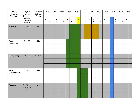| Fruit,<br>Herb, or<br>Vegetable | Days to<br><b>Harvest</b><br>(from seed | <b>Distance</b><br><b>Between</b><br><b>Plants</b> |             | Jan                                    |             | Feb                                    |             | <b>Mar</b>                    |             | Apr                                    |             | <b>May</b>                                 |             | Jun                            |             | Jul                                    | Aug         |                  |             | Sep                                    |                | Oct                           |             | <b>Nov</b>                             | <b>Dec</b>  |                                |
|---------------------------------|-----------------------------------------|----------------------------------------------------|-------------|----------------------------------------|-------------|----------------------------------------|-------------|-------------------------------|-------------|----------------------------------------|-------------|--------------------------------------------|-------------|--------------------------------|-------------|----------------------------------------|-------------|------------------|-------------|----------------------------------------|----------------|-------------------------------|-------------|----------------------------------------|-------------|--------------------------------|
|                                 | unless<br>otherwise<br>noted)           |                                                    | $\mathbf 1$ | $\mathbf 1$<br>$\overline{\mathbf{5}}$ | $\mathbf 1$ | $\mathbf 1$<br>$\overline{\mathbf{5}}$ | $\mathbf 1$ | $\mathbf 1$<br>$5\phantom{1}$ | $\mathbf 1$ | $\mathbf 1$<br>$\overline{\mathbf{5}}$ | $\mathbf 1$ | $\overline{\mathbf{1}}$<br>$5\overline{)}$ | $\mathbf 1$ | $\mathbf 1$<br>$5\phantom{.0}$ | $\mathbf 1$ | $\mathbf 1$<br>$\overline{\mathbf{5}}$ | $\mathbf 1$ | $\mathbf 1$<br>5 | $\mathbf 1$ | $\mathbf 1$<br>$\overline{\mathbf{5}}$ | $\overline{1}$ | $\mathbf 1$<br>$5\phantom{a}$ | $\mathbf 1$ | $\mathbf 1$<br>$\overline{\mathbf{5}}$ | $\mathbf 1$ | $\mathbf{1}$<br>$5\phantom{a}$ |
| Parsnips                        | $100 - 130$                             | $3 - 4$ in                                         |             |                                        |             |                                        |             |                               |             |                                        |             |                                            |             |                                |             |                                        |             |                  |             |                                        |                |                               |             |                                        |             |                                |
|                                 |                                         |                                                    |             |                                        |             |                                        |             |                               |             |                                        |             |                                            |             |                                |             |                                        |             |                  |             |                                        |                |                               |             |                                        |             |                                |
|                                 |                                         |                                                    |             |                                        |             |                                        |             |                               |             |                                        |             |                                            |             |                                |             |                                        |             |                  |             |                                        |                |                               |             |                                        |             |                                |
| Peas,<br>dwarf/bush             | $54 - 60$                               | 4 in                                               |             |                                        |             |                                        |             |                               |             |                                        |             |                                            |             |                                |             |                                        |             |                  |             |                                        |                |                               |             |                                        |             |                                |
|                                 |                                         |                                                    |             |                                        |             |                                        |             |                               |             |                                        |             |                                            |             |                                |             |                                        |             |                  |             |                                        |                |                               |             |                                        |             |                                |
|                                 |                                         |                                                    |             |                                        |             |                                        |             |                               |             |                                        |             |                                            |             |                                |             |                                        |             |                  |             |                                        |                |                               |             |                                        |             |                                |
| Peas, vining                    | $54 - 72$                               | $2 - 3$ in                                         |             |                                        |             |                                        |             |                               |             |                                        |             |                                            |             |                                |             |                                        |             |                  |             |                                        |                |                               |             |                                        |             |                                |
|                                 |                                         |                                                    |             |                                        |             |                                        |             |                               |             |                                        |             |                                            |             |                                |             |                                        |             |                  |             |                                        |                |                               |             |                                        |             |                                |
|                                 |                                         |                                                    |             |                                        |             |                                        |             |                               |             |                                        |             |                                            |             |                                |             |                                        |             |                  |             |                                        |                |                               |             |                                        |             |                                |
| Peas,<br>field/southern         | $55 - 65$                               | 4 in                                               |             |                                        |             |                                        |             |                               |             |                                        |             |                                            |             |                                |             |                                        |             |                  |             |                                        |                |                               |             |                                        |             |                                |
|                                 |                                         |                                                    |             |                                        |             |                                        |             |                               |             |                                        |             |                                            |             |                                |             |                                        |             |                  |             |                                        |                |                               |             |                                        |             |                                |
|                                 |                                         |                                                    |             |                                        |             |                                        |             |                               |             |                                        |             |                                            |             |                                |             |                                        |             |                  |             |                                        |                |                               |             |                                        |             |                                |
| Peppers                         | $T = 75 - 80$<br>$S = 145 -$            | 18 in                                              |             |                                        |             |                                        |             |                               |             |                                        |             |                                            |             |                                |             |                                        |             |                  |             |                                        |                |                               |             |                                        |             |                                |
|                                 | $150*$                                  |                                                    |             |                                        |             |                                        |             |                               |             |                                        |             |                                            |             |                                |             |                                        |             |                  |             |                                        |                |                               |             |                                        |             |                                |
|                                 |                                         |                                                    |             |                                        |             |                                        |             |                               |             |                                        |             |                                            |             |                                |             |                                        |             |                  |             |                                        |                |                               |             |                                        |             |                                |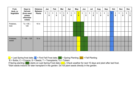| Fruit,                | Days to                                                       | <b>Distance</b>                 |              | Jan              |   | Feb              |   | Mar                           |   | Apr              |   | May                                    |              | Jun               |              | Jul              |   | Aug    | Sep          |                  | Oct |                  |   | <b>Nov</b>        | <b>Dec</b> |                               |
|-----------------------|---------------------------------------------------------------|---------------------------------|--------------|------------------|---|------------------|---|-------------------------------|---|------------------|---|----------------------------------------|--------------|-------------------|--------------|------------------|---|--------|--------------|------------------|-----|------------------|---|-------------------|------------|-------------------------------|
| Herb, or<br>Vegetable | <b>Harvest</b><br>(from seed<br>unless<br>otherwise<br>noted) | <b>Between</b><br><b>Plants</b> | $\mathbf{1}$ | $\mathbf 1$<br>5 | 1 | $\mathbf 1$<br>5 | 1 | $\mathbf 1$<br>$5\phantom{1}$ | 1 | $\mathbf 1$<br>5 | 1 | $\blacktriangleleft$<br>$5\phantom{1}$ | $\mathbf{1}$ | $\mathbf{1}$<br>5 | $\mathbf{1}$ | $\mathbf 1$<br>5 | 1 | 1<br>5 | $\mathbf{1}$ | $\mathbf 1$<br>5 |     | $\mathbf 1$<br>5 | 1 | $\mathbf{1}$<br>5 | 1          | $\mathbf 1$<br>$5\phantom{1}$ |
| Potatoes,<br>Irish    | $Tu = 95 -$<br>120                                            | $10$ in                         |              |                  |   |                  |   |                               |   |                  |   |                                        |              |                   |              |                  |   |        |              |                  |     |                  |   |                   |            |                               |
|                       |                                                               |                                 |              |                  |   |                  |   |                               |   |                  |   |                                        |              |                   |              |                  |   |        |              |                  |     |                  |   |                   |            |                               |
|                       |                                                               |                                 |              |                  |   |                  |   |                               |   |                  |   |                                        |              |                   |              |                  |   |        |              |                  |     |                  |   |                   |            |                               |
| Potatoes,<br>sweet    | $T = 95 - 125$                                                | $10$ in                         |              |                  |   |                  |   |                               |   |                  |   |                                        |              |                   |              |                  |   |        |              |                  |     |                  |   |                   |            |                               |
|                       |                                                               |                                 |              |                  |   |                  |   |                               |   |                  |   |                                        |              |                   |              |                  |   |        |              |                  |     |                  |   |                   |            |                               |
|                       |                                                               |                                 |              |                  |   |                  |   |                               |   |                  |   |                                        |              |                   |              |                  |   |        |              |                  |     |                  |   |                   |            |                               |

 $\overline{B}$  = Bulbs; C = Crowns; S = Seeds; T = Transplants;  $\overline{T}u$  = Tubers

If Spring planting (**n)** starts on Last Spring Frost date (**n)**, Check weather for next 10 days and plant after last frost. \*Start seeds indoors for later transplant in the garden. Do not plant seeds directly in the garden.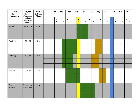| Fruit,<br>Herb, or<br>Vegetable | Days to<br><b>Harvest</b><br>(from seed<br>unless<br>otherwise<br>noted) | <b>Distance</b><br><b>Between</b><br><b>Plants</b> | Jan         |                                        | Feb         |                                         | Mar         |                               | Apr         |                                        | <b>May</b>  |                                            | Jun         |                  | Jul         |                           | Aug         |                               | Sep         |                  | Oct                     |                               | <b>Nov</b>  |                                        | <b>Dec</b>  |                               |
|---------------------------------|--------------------------------------------------------------------------|----------------------------------------------------|-------------|----------------------------------------|-------------|-----------------------------------------|-------------|-------------------------------|-------------|----------------------------------------|-------------|--------------------------------------------|-------------|------------------|-------------|---------------------------|-------------|-------------------------------|-------------|------------------|-------------------------|-------------------------------|-------------|----------------------------------------|-------------|-------------------------------|
|                                 |                                                                          |                                                    | $\mathbf 1$ | $\mathbf 1$<br>$\overline{\mathbf{5}}$ | $\mathbf 1$ | $\mathbf{1}$<br>$\overline{\mathbf{5}}$ | $\mathbf 1$ | $\mathbf 1$<br>$5\phantom{a}$ | $\mathbf 1$ | $\mathbf 1$<br>$\overline{\mathbf{5}}$ | $\mathbf 1$ | $\overline{\mathbf{1}}$<br>$5\overline{)}$ | $\mathbf 1$ | $\mathbf 1$<br>5 | $\mathbf 1$ | $\mathbf 1$<br>$\sqrt{5}$ | $\mathbf 1$ | $\mathbf 1$<br>$5\phantom{a}$ | $\mathbf 1$ | $\mathbf 1$<br>5 | $\overline{\mathbf{1}}$ | $\mathbf 1$<br>$5\phantom{1}$ | $\mathbf 1$ | $\mathbf 1$<br>$\overline{\mathbf{5}}$ | $\mathbf 1$ | $\mathbf 1$<br>$5\phantom{a}$ |
| Pumpkin                         | $115 - 120$                                                              | 48 in                                              |             |                                        |             |                                         |             |                               |             |                                        |             |                                            |             |                  |             |                           |             |                               |             |                  |                         |                               |             |                                        |             |                               |
|                                 |                                                                          |                                                    |             |                                        |             |                                         |             |                               |             |                                        |             |                                            |             |                  |             |                           |             |                               |             |                  |                         |                               |             |                                        |             |                               |
|                                 |                                                                          |                                                    |             |                                        |             |                                         |             |                               |             |                                        |             |                                            |             |                  |             |                           |             |                               |             |                  |                         |                               |             |                                        |             |                               |
| Radishes                        | $20 - 25$                                                                | $1$ in                                             |             |                                        |             |                                         |             |                               |             |                                        |             |                                            |             |                  |             |                           |             |                               |             |                  |                         |                               |             |                                        |             |                               |
|                                 |                                                                          |                                                    |             |                                        |             |                                         |             |                               |             |                                        |             |                                            |             |                  |             |                           |             |                               |             |                  |                         |                               |             |                                        |             |                               |
|                                 |                                                                          |                                                    |             |                                        |             |                                         |             |                               |             |                                        |             |                                            |             |                  |             |                           |             |                               |             |                  |                         |                               |             |                                        |             |                               |
| Rutabaga                        | $70 - 80$                                                                | $4$ in                                             |             |                                        |             |                                         |             |                               |             |                                        |             |                                            |             |                  |             |                           |             |                               |             |                  |                         |                               |             |                                        |             |                               |
|                                 |                                                                          |                                                    |             |                                        |             |                                         |             |                               |             |                                        |             |                                            |             |                  |             |                           |             |                               |             |                  |                         |                               |             |                                        |             |                               |
|                                 |                                                                          |                                                    |             |                                        |             |                                         |             |                               |             |                                        |             |                                            |             |                  |             |                           |             |                               |             |                  |                         |                               |             |                                        |             |                               |
| Spinach                         | $50 - 60$                                                                | 6 in                                               |             |                                        |             |                                         |             |                               |             |                                        |             |                                            |             |                  |             |                           |             |                               |             |                  |                         |                               |             |                                        |             |                               |
|                                 |                                                                          |                                                    |             |                                        |             |                                         |             |                               |             |                                        |             |                                            |             |                  |             |                           |             |                               |             |                  |                         |                               |             |                                        |             |                               |
|                                 |                                                                          |                                                    |             |                                        |             |                                         |             |                               |             |                                        |             |                                            |             |                  |             |                           |             |                               |             |                  |                         |                               |             |                                        |             |                               |
| Squash,<br>summer               | $T = 30 - 40$<br>$S = 50 - 60$                                           | 24 in                                              |             |                                        |             |                                         |             |                               |             |                                        |             |                                            |             |                  |             |                           |             |                               |             |                  |                         |                               |             |                                        |             |                               |
|                                 |                                                                          |                                                    |             |                                        |             |                                         |             |                               |             |                                        |             |                                            |             |                  |             |                           |             |                               |             |                  |                         |                               |             |                                        |             |                               |
|                                 |                                                                          |                                                    |             |                                        |             |                                         |             |                               |             |                                        |             |                                            |             |                  |             |                           |             |                               |             |                  |                         |                               |             |                                        |             |                               |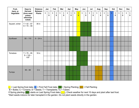| Fruit,<br>Herb, or<br>Vegetable | Days to<br><b>Harvest</b><br>(from seed<br>unless<br>otherwise<br>noted) | <b>Distance</b><br><b>Between</b><br><b>Plants</b> | Jan |                                        | Feb         |                                        | Mar         |                               | Apr         |                                        | <b>May</b>  |                                                    | Jun         |                  | Jul         |                  | Aug          |                               |             | Sep              | Oct          |                                        | <b>Nov</b>  |                  |             | <b>Dec</b>                     |
|---------------------------------|--------------------------------------------------------------------------|----------------------------------------------------|-----|----------------------------------------|-------------|----------------------------------------|-------------|-------------------------------|-------------|----------------------------------------|-------------|----------------------------------------------------|-------------|------------------|-------------|------------------|--------------|-------------------------------|-------------|------------------|--------------|----------------------------------------|-------------|------------------|-------------|--------------------------------|
|                                 |                                                                          |                                                    | 1   | $\mathbf 1$<br>$\overline{\mathbf{5}}$ | $\mathbf 1$ | $\mathbf 1$<br>$\overline{\mathbf{5}}$ | $\mathbf 1$ | $\mathbf 1$<br>$5\phantom{a}$ | $\mathbf 1$ | $\mathbf 1$<br>$\overline{\mathbf{5}}$ | $\mathbf 1$ | $\overline{\mathbf{1}}$<br>$\overline{\mathbf{5}}$ | $\mathbf 1$ | $\mathbf 1$<br>5 | $\mathbf 1$ | $\mathbf 1$<br>5 | $\mathbf{1}$ | $\mathbf 1$<br>$5\phantom{a}$ | $\mathbf 1$ | $\mathbf 1$<br>5 | $\mathbf{1}$ | $\mathbf 1$<br>$\overline{\mathbf{5}}$ | $\mathbf 1$ | $\mathbf 1$<br>5 | $\mathbf 1$ | $\mathbf{1}$<br>$5\phantom{1}$ |
| Squash, winter                  | $T = 42 - 67$<br>$S = 70 - 95$                                           | 36 in                                              |     |                                        |             |                                        |             |                               |             |                                        |             |                                                    |             |                  |             |                  |              |                               |             |                  |              |                                        |             |                  |             |                                |
|                                 |                                                                          |                                                    |     |                                        |             |                                        |             |                               |             |                                        |             |                                                    |             |                  |             |                  |              |                               |             |                  |              |                                        |             |                  |             |                                |
|                                 |                                                                          |                                                    |     |                                        |             |                                        |             |                               |             |                                        |             |                                                    |             |                  |             |                  |              |                               |             |                  |              |                                        |             |                  |             |                                |
| Sunflower                       | $55 - 110$                                                               | $9 - 24$ in                                        |     |                                        |             |                                        |             |                               |             |                                        |             |                                                    |             |                  |             |                  |              |                               |             |                  |              |                                        |             |                  |             |                                |
|                                 |                                                                          |                                                    |     |                                        |             |                                        |             |                               |             |                                        |             |                                                    |             |                  |             |                  |              |                               |             |                  |              |                                        |             |                  |             |                                |
|                                 |                                                                          |                                                    |     |                                        |             |                                        |             |                               |             |                                        |             |                                                    |             |                  |             |                  |              |                               |             |                  |              |                                        |             |                  |             |                                |
| Tomatoes                        | $T = 75 - 85$<br>$S = 125 -$                                             | 18 in                                              |     |                                        |             |                                        |             |                               |             |                                        |             |                                                    |             |                  |             |                  |              |                               |             |                  |              |                                        |             |                  |             |                                |
|                                 | $135*$                                                                   |                                                    |     |                                        |             |                                        |             |                               |             |                                        |             |                                                    |             |                  |             |                  |              |                               |             |                  |              |                                        |             |                  |             |                                |
|                                 |                                                                          |                                                    |     |                                        |             |                                        |             |                               |             |                                        |             |                                                    |             |                  |             |                  |              |                               |             |                  |              |                                        |             |                  |             |                                |
| Turnips                         | $55 - 60$                                                                | $2$ in                                             |     |                                        |             |                                        |             |                               |             |                                        |             |                                                    |             |                  |             |                  |              |                               |             |                  |              |                                        |             |                  |             |                                |
|                                 |                                                                          |                                                    |     |                                        |             |                                        |             |                               |             |                                        |             |                                                    |             |                  |             |                  |              |                               |             |                  |              |                                        |             |                  |             |                                |
|                                 |                                                                          |                                                    |     |                                        |             |                                        |             |                               |             |                                        |             |                                                    |             |                  |             |                  |              |                               |             |                  |              |                                        |             |                  |             |                                |

 $\overline{B}$  = Bulbs; C = Crowns; S = Seeds; T = Transplants;  $\overline{T}u$  = Tubers

If Spring planting (**n)** starts on Last Spring Frost date (**n)**, Check weather for next 10 days and plant after last frost.

\*Start seeds indoors for later transplant in the garden. Do not plant seeds directly in the garden.